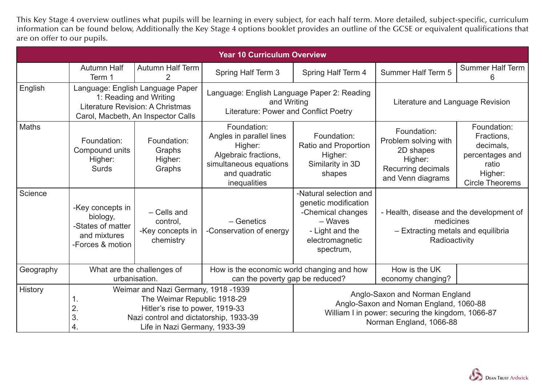This Key Stage 4 overview outlines what pupils will be learning in every subject, for each half term. More detailed, subject-specific, curriculum information can be found below, Additionally the Key Stage 4 options booklet provides an outline of the GCSE or equivalent qualifications that are on offer to our pupils.

|           |                                                                                                                                                                                                          |                                                          | <b>Year 10 Curriculum Overview</b>                                                                                                    |                                                                                                                                                          |                                                                                                              |                                                                                                         |
|-----------|----------------------------------------------------------------------------------------------------------------------------------------------------------------------------------------------------------|----------------------------------------------------------|---------------------------------------------------------------------------------------------------------------------------------------|----------------------------------------------------------------------------------------------------------------------------------------------------------|--------------------------------------------------------------------------------------------------------------|---------------------------------------------------------------------------------------------------------|
|           | <b>Autumn Half</b><br>Term 1                                                                                                                                                                             | <b>Autumn Half Term</b><br>2                             | <b>Spring Half Term 3</b>                                                                                                             | Spring Half Term 4                                                                                                                                       | <b>Summer Half Term 5</b>                                                                                    | <b>Summer Half Term</b><br>6                                                                            |
| English   | Language: English Language Paper<br>1: Reading and Writing<br>Literature Revision: A Christmas<br>Carol, Macbeth, An Inspector Calls                                                                     |                                                          | Language: English Language Paper 2: Reading<br>and Writing<br>Literature: Power and Conflict Poetry                                   |                                                                                                                                                          | Literature and Language Revision                                                                             |                                                                                                         |
| Maths     | Foundation:<br>Compound units<br>Higher:<br><b>Surds</b>                                                                                                                                                 | Foundation:<br>Graphs<br>Higher:<br>Graphs               | Foundation:<br>Angles in parallel lines<br>Higher:<br>Algebraic fractions,<br>simultaneous equations<br>and quadratic<br>inequalities | Foundation:<br><b>Ratio and Proportion</b><br>Higher:<br>Similarity in 3D<br>shapes                                                                      | Foundation:<br>Problem solving with<br>2D shapes<br>Higher:<br>Recurring decimals<br>and Venn diagrams       | Foundation:<br>Fractions,<br>decimals,<br>percentages and<br>ratio<br>Higher:<br><b>Circle Theorems</b> |
| Science   | -Key concepts in<br>biology,<br>-States of matter<br>and mixtures<br>-Forces & motion                                                                                                                    | - Cells and<br>control,<br>-Key concepts in<br>chemistry | - Genetics<br>-Conservation of energy                                                                                                 | -Natural selection and<br>genetic modification<br>-Chemical changes<br>- Waves<br>- Light and the<br>electromagnetic<br>spectrum,                        | - Health, disease and the development of<br>medicines<br>- Extracting metals and equilibria<br>Radioactivity |                                                                                                         |
| Geography |                                                                                                                                                                                                          | What are the challenges of<br>urbanisation.              | How is the economic world changing and how<br>can the poverty gap be reduced?                                                         |                                                                                                                                                          | How is the UK<br>economy changing?                                                                           |                                                                                                         |
| History   | Weimar and Nazi Germany, 1918 -1939<br>The Weimar Republic 1918-29<br>1.<br>Hitler's rise to power, 1919-33<br>2.<br>3.<br>Nazi control and dictatorship, 1933-39<br>4.<br>Life in Nazi Germany, 1933-39 |                                                          |                                                                                                                                       | Anglo-Saxon and Norman England<br>Anglo-Saxon and Noman England, 1060-88<br>William I in power: securing the kingdom, 1066-87<br>Norman England, 1066-88 |                                                                                                              |                                                                                                         |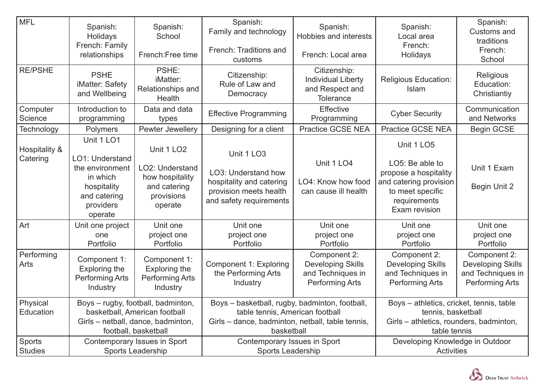| <b>MFL</b>                      | Spanish:<br>Holidays<br>French: Family<br>relationships                                                                           | Spanish:<br>School<br>French: Free time                                                               | Spanish:<br>Family and technology<br>French: Traditions and<br>customs                                                                              | Spanish:<br><b>Hobbies and interests</b><br>French: Local area                          | Spanish:<br>Local area<br>French:<br>Holidays                                                                                                | Spanish:<br><b>Customs and</b><br>traditions<br>French:<br>School                       |
|---------------------------------|-----------------------------------------------------------------------------------------------------------------------------------|-------------------------------------------------------------------------------------------------------|-----------------------------------------------------------------------------------------------------------------------------------------------------|-----------------------------------------------------------------------------------------|----------------------------------------------------------------------------------------------------------------------------------------------|-----------------------------------------------------------------------------------------|
| <b>RE/PSHE</b>                  | <b>PSHE</b><br>iMatter: Safety<br>and Wellbeing                                                                                   | PSHE:<br>iMatter:<br>Relationships and<br>Health                                                      | Citizenship:<br>Rule of Law and<br>Democracy                                                                                                        | Citizenship:<br><b>Individual Liberty</b><br>and Respect and<br><b>Tolerance</b>        | <b>Religious Education:</b><br><b>Islam</b>                                                                                                  | Religious<br>Education:<br>Christiantiy                                                 |
| Computer<br>Science             | Introduction to<br>programming                                                                                                    | Data and data<br>types                                                                                | <b>Effective Programming</b>                                                                                                                        | Effective<br>Programming                                                                | <b>Cyber Security</b>                                                                                                                        | Communication<br>and Networks                                                           |
| Technology                      | <b>Polymers</b>                                                                                                                   | Pewter Jewellery                                                                                      | Designing for a client                                                                                                                              | <b>Practice GCSE NEA</b>                                                                | <b>Practice GCSE NEA</b>                                                                                                                     | <b>Begin GCSE</b>                                                                       |
| Hospitality &<br>Catering       | Unit 1 LO1<br>LO1: Understand<br>the environment<br>in which<br>hospitality<br>and catering<br>providers<br>operate               | Unit 1 LO <sub>2</sub><br>LO2: Understand<br>how hospitality<br>and catering<br>provisions<br>operate | Unit 1 LO3<br>LO3: Understand how<br>hospitality and catering<br>provision meets health<br>and safety requirements                                  | Unit 1 LO4<br>LO4: Know how food<br>can cause ill health                                | Unit 1 LO5<br>LO5: Be able to<br>propose a hospitality<br>and catering provision<br>to meet specific<br>requirements<br><b>Exam revision</b> | Unit 1 Exam<br><b>Begin Unit 2</b>                                                      |
| Art                             | Unit one project<br>one<br>Portfolio                                                                                              | Unit one<br>project one<br>Portfolio                                                                  | Unit one<br>project one<br>Portfolio                                                                                                                | Unit one<br>project one<br>Portfolio                                                    | Unit one<br>project one<br>Portfolio                                                                                                         | Unit one<br>project one<br>Portfolio                                                    |
| Performing<br>Arts              | Component 1:<br><b>Exploring the</b><br><b>Performing Arts</b><br>Industry                                                        | Component 1:<br><b>Exploring the</b><br><b>Performing Arts</b><br>Industry                            | <b>Component 1: Exploring</b><br>the Performing Arts<br>Industry                                                                                    | Component 2:<br><b>Developing Skills</b><br>and Techniques in<br><b>Performing Arts</b> | Component 2:<br><b>Developing Skills</b><br>and Techniques in<br><b>Performing Arts</b>                                                      | Component 2:<br><b>Developing Skills</b><br>and Techniques in<br><b>Performing Arts</b> |
| Physical<br>Education           | Boys - rugby, football, badminton,<br>basketball, American football<br>Girls - netball, dance, badminton,<br>football, basketball |                                                                                                       | Boys - basketball, rugby, badminton, football,<br>table tennis, American football<br>Girls – dance, badminton, netball, table tennis,<br>basketball |                                                                                         | Boys - athletics, cricket, tennis, table<br>tennis, basketball<br>Girls – athletics, rounders, badminton,<br>table tennis                    |                                                                                         |
| <b>Sports</b><br><b>Studies</b> | Contemporary Issues in Sport<br>Sports Leadership                                                                                 |                                                                                                       | Contemporary Issues in Sport<br><b>Sports Leadership</b>                                                                                            |                                                                                         | Developing Knowledge in Outdoor<br>Activities                                                                                                |                                                                                         |

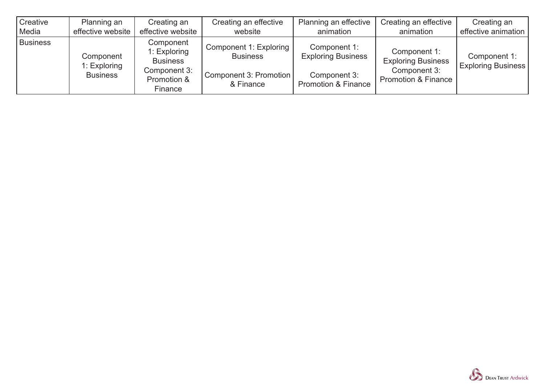| Creative        | Planning an                                  | Creating an                                                                            | Creating an effective                                                            | Planning an effective                                                                       | Creating an effective                                                                       | Creating an                               |
|-----------------|----------------------------------------------|----------------------------------------------------------------------------------------|----------------------------------------------------------------------------------|---------------------------------------------------------------------------------------------|---------------------------------------------------------------------------------------------|-------------------------------------------|
| Media           | effective website                            | effective website                                                                      | website                                                                          | animation                                                                                   | animation                                                                                   | effective animation                       |
| <b>Business</b> | Component<br>1: Exploring<br><b>Business</b> | Component<br>1: Exploring<br><b>Business</b><br>Component 3:<br>Promotion &<br>Finance | Component 1: Exploring<br><b>Business</b><br>Component 3: Promotion<br>& Finance | Component 1:<br><b>Exploring Business</b><br>Component 3:<br><b>Promotion &amp; Finance</b> | Component 1:<br><b>Exploring Business</b><br>Component 3:<br><b>Promotion &amp; Finance</b> | Component 1:<br><b>Exploring Business</b> |

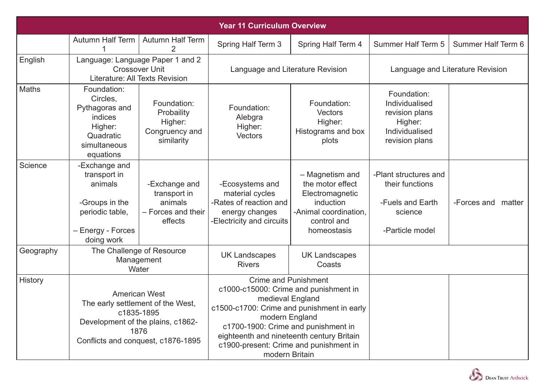| <b>Year 11 Curriculum Overview</b> |                                                                                                                                                           |                                                                           |                                                                                                                                                                                                                                                                                                          |                                                                                                                            |                                                                                                |                       |
|------------------------------------|-----------------------------------------------------------------------------------------------------------------------------------------------------------|---------------------------------------------------------------------------|----------------------------------------------------------------------------------------------------------------------------------------------------------------------------------------------------------------------------------------------------------------------------------------------------------|----------------------------------------------------------------------------------------------------------------------------|------------------------------------------------------------------------------------------------|-----------------------|
|                                    | <b>Autumn Half Term</b>                                                                                                                                   | <b>Autumn Half Term</b>                                                   | Spring Half Term 3                                                                                                                                                                                                                                                                                       | <b>Spring Half Term 4</b>                                                                                                  | <b>Summer Half Term 5</b>                                                                      | Summer Half Term 6    |
| English                            | Language: Language Paper 1 and 2<br><b>Crossover Unit</b><br>Literature: All Texts Revision                                                               |                                                                           | Language and Literature Revision                                                                                                                                                                                                                                                                         |                                                                                                                            | Language and Literature Revision                                                               |                       |
| Maths                              | Foundation:<br>Circles,<br>Pythagoras and<br>indices<br>Higher:<br>Quadratic<br>simultaneous<br>equations                                                 | Foundation:<br>Probaility<br>Higher:<br>Congruency and<br>similarity      | Foundation:<br>Alebgra<br>Higher:<br>Vectors                                                                                                                                                                                                                                                             | Foundation:<br>Vectors<br>Higher:<br>Histograms and box<br>plots                                                           | Foundation:<br>Individualised<br>revision plans<br>Higher:<br>Individualised<br>revision plans |                       |
| Science                            | -Exchange and<br>transport in<br>animals<br>-Groups in the<br>periodic table,<br>- Energy - Forces<br>doing work                                          | -Exchange and<br>transport in<br>animals<br>- Forces and their<br>effects | -Ecosystems and<br>material cycles<br>-Rates of reaction and<br>energy changes<br>-Electricity and circuits                                                                                                                                                                                              | - Magnetism and<br>the motor effect<br>Electromagnetic<br>induction<br>-Animal coordination,<br>control and<br>homeostasis | -Plant structures and<br>their functions<br>-Fuels and Earth<br>science<br>-Particle model     | -Forces and<br>matter |
| Geography                          | The Challenge of Resource<br>Management<br>Water                                                                                                          |                                                                           | <b>UK Landscapes</b><br><b>Rivers</b>                                                                                                                                                                                                                                                                    | <b>UK Landscapes</b><br>Coasts                                                                                             |                                                                                                |                       |
| History                            | <b>American West</b><br>The early settlement of the West<br>c1835-1895<br>Development of the plains, c1862-<br>1876<br>Conflicts and conquest, c1876-1895 |                                                                           | <b>Crime and Punishment</b><br>c1000-c15000: Crime and punishment in<br>medieval England<br>c1500-c1700: Crime and punishment in early<br>modern England<br>c1700-1900: Crime and punishment in<br>eighteenth and nineteenth century Britain<br>c1900-present: Crime and punishment in<br>modern Britain |                                                                                                                            |                                                                                                |                       |